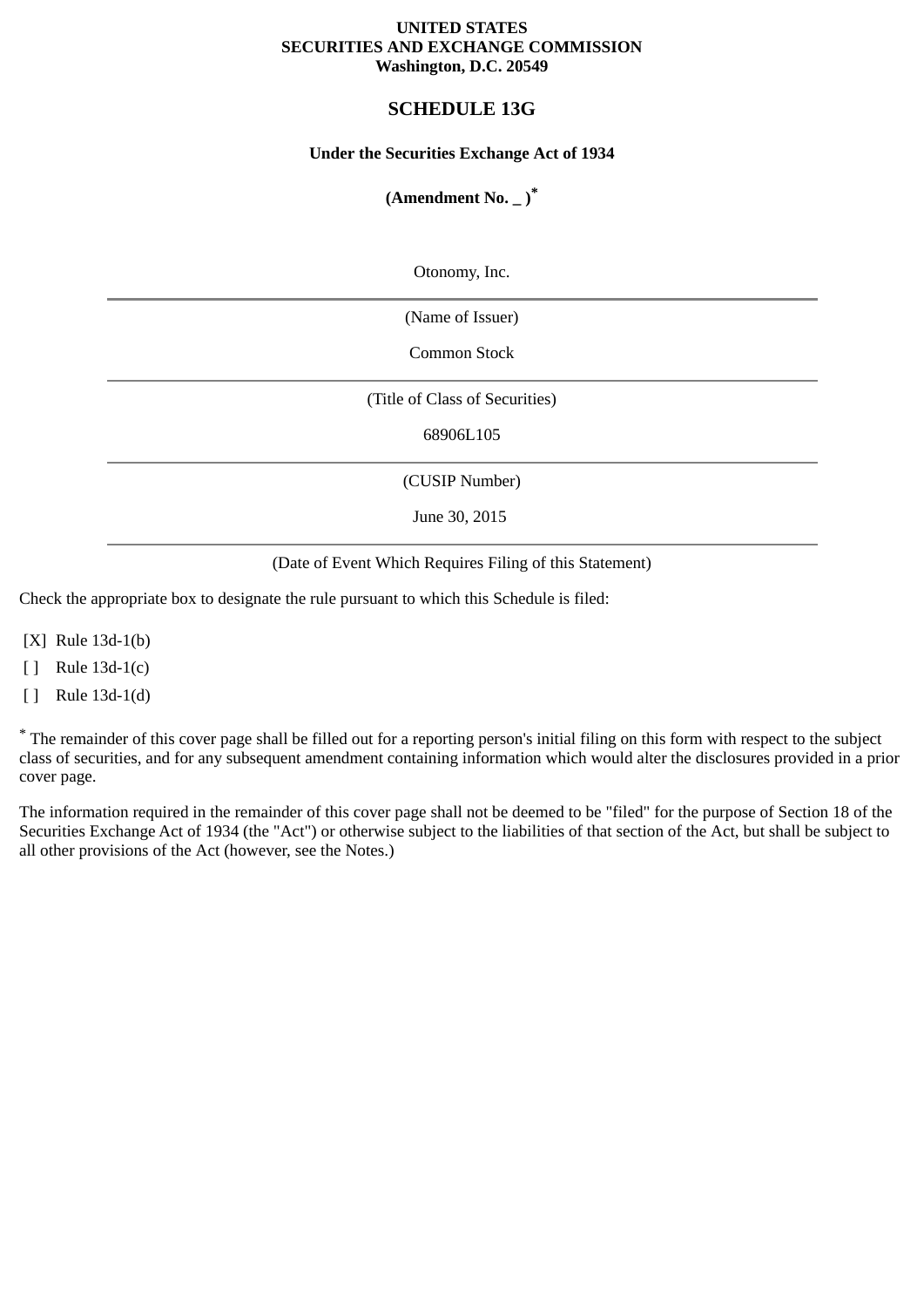### **UNITED STATES SECURITIES AND EXCHANGE COMMISSION Washington, D.C. 20549**

# **SCHEDULE 13G**

### **Under the Securities Exchange Act of 1934**

### **(Amendment No. \_ )\***

Otonomy, Inc.

(Name of Issuer)

Common Stock

(Title of Class of Securities)

68906L105

(CUSIP Number)

June 30, 2015

(Date of Event Which Requires Filing of this Statement)

Check the appropriate box to designate the rule pursuant to which this Schedule is filed:

[X] Rule 13d-1(b)

[ ] Rule 13d-1(c)

[ ] Rule 13d-1(d)

\* The remainder of this cover page shall be filled out for a reporting person's initial filing on this form with respect to the subject class of securities, and for any subsequent amendment containing information which would alter the disclosures provided in a prior cover page.

The information required in the remainder of this cover page shall not be deemed to be "filed" for the purpose of Section 18 of the Securities Exchange Act of 1934 (the "Act") or otherwise subject to the liabilities of that section of the Act, but shall be subject to all other provisions of the Act (however, see the Notes.)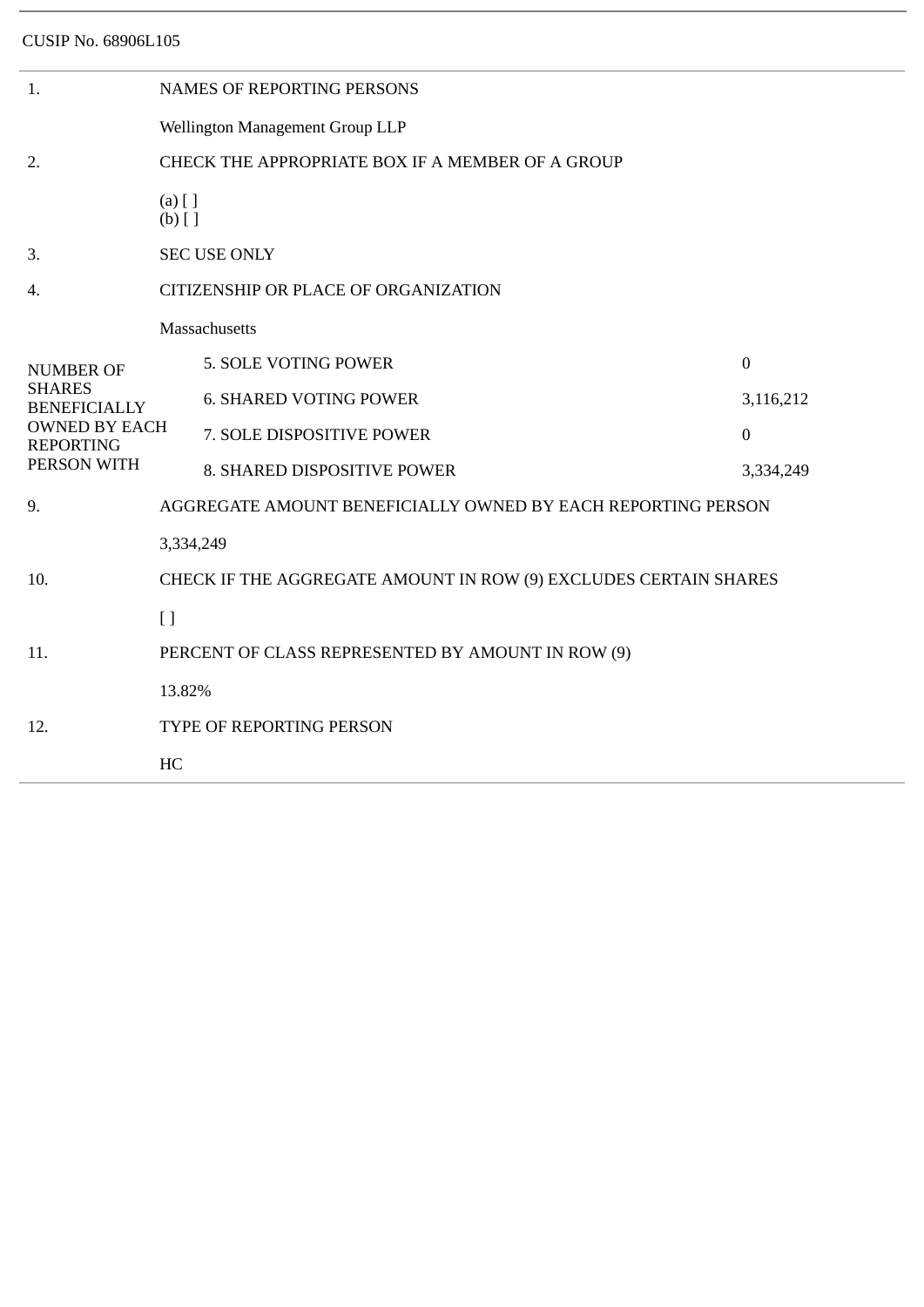| 1.                                                      | <b>NAMES OF REPORTING PERSONS</b>                                |                               |              |  |  |  |
|---------------------------------------------------------|------------------------------------------------------------------|-------------------------------|--------------|--|--|--|
|                                                         | Wellington Management Group LLP                                  |                               |              |  |  |  |
| 2.                                                      | CHECK THE APPROPRIATE BOX IF A MEMBER OF A GROUP                 |                               |              |  |  |  |
|                                                         | $(a)$ [ ]<br>$(b)$ []                                            |                               |              |  |  |  |
| 3.                                                      | <b>SEC USE ONLY</b>                                              |                               |              |  |  |  |
| 4.                                                      | CITIZENSHIP OR PLACE OF ORGANIZATION                             |                               |              |  |  |  |
| <b>NUMBER OF</b>                                        | Massachusetts                                                    |                               |              |  |  |  |
|                                                         |                                                                  | 5. SOLE VOTING POWER          | $\mathbf{0}$ |  |  |  |
| <b>SHARES</b><br><b>BENEFICIALLY</b>                    |                                                                  | <b>6. SHARED VOTING POWER</b> | 3,116,212    |  |  |  |
| <b>OWNED BY EACH</b><br><b>REPORTING</b><br>PERSON WITH |                                                                  | 7. SOLE DISPOSITIVE POWER     | $\mathbf{0}$ |  |  |  |
|                                                         |                                                                  | 8. SHARED DISPOSITIVE POWER   | 3,334,249    |  |  |  |
| 9.                                                      | AGGREGATE AMOUNT BENEFICIALLY OWNED BY EACH REPORTING PERSON     |                               |              |  |  |  |
|                                                         | 3,334,249                                                        |                               |              |  |  |  |
| 10.                                                     | CHECK IF THE AGGREGATE AMOUNT IN ROW (9) EXCLUDES CERTAIN SHARES |                               |              |  |  |  |
|                                                         | $\left[ \ \right]$                                               |                               |              |  |  |  |
| 11.                                                     | PERCENT OF CLASS REPRESENTED BY AMOUNT IN ROW (9)                |                               |              |  |  |  |
|                                                         | 13.82%                                                           |                               |              |  |  |  |
| 12.                                                     | TYPE OF REPORTING PERSON                                         |                               |              |  |  |  |
|                                                         | HC                                                               |                               |              |  |  |  |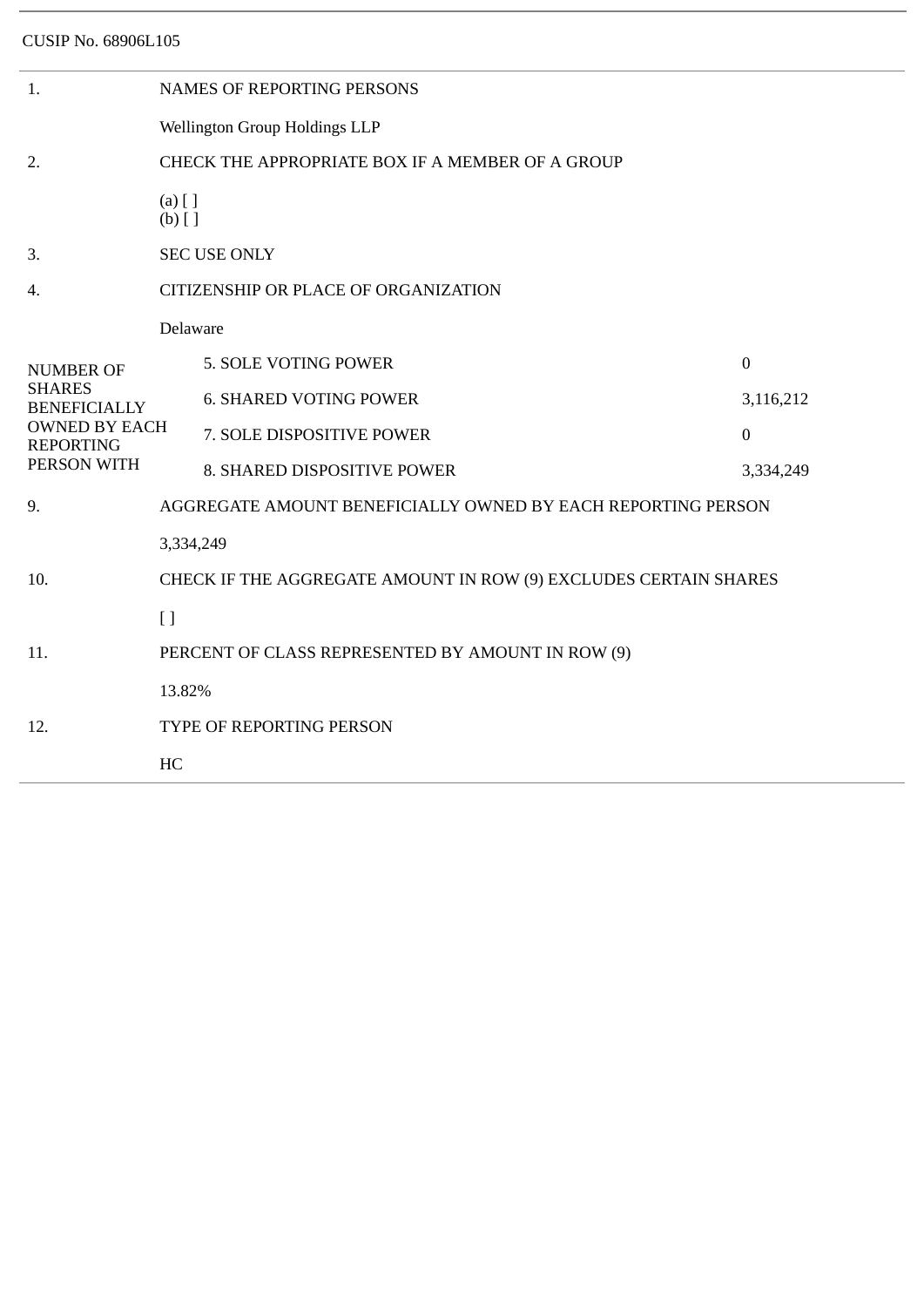| 1.                                                      | <b>NAMES OF REPORTING PERSONS</b>                                |                               |                  |  |  |  |
|---------------------------------------------------------|------------------------------------------------------------------|-------------------------------|------------------|--|--|--|
|                                                         | Wellington Group Holdings LLP                                    |                               |                  |  |  |  |
| 2.                                                      | CHECK THE APPROPRIATE BOX IF A MEMBER OF A GROUP                 |                               |                  |  |  |  |
|                                                         | $(a)$ [ ]<br>$(b)$ []                                            |                               |                  |  |  |  |
| 3.                                                      | <b>SEC USE ONLY</b>                                              |                               |                  |  |  |  |
| 4.                                                      | CITIZENSHIP OR PLACE OF ORGANIZATION                             |                               |                  |  |  |  |
|                                                         | Delaware                                                         |                               |                  |  |  |  |
| <b>NUMBER OF</b>                                        |                                                                  | 5. SOLE VOTING POWER          | $\boldsymbol{0}$ |  |  |  |
| <b>SHARES</b><br><b>BENEFICIALLY</b>                    |                                                                  | <b>6. SHARED VOTING POWER</b> | 3,116,212        |  |  |  |
| <b>OWNED BY EACH</b><br><b>REPORTING</b><br>PERSON WITH |                                                                  | 7. SOLE DISPOSITIVE POWER     | $\boldsymbol{0}$ |  |  |  |
|                                                         |                                                                  | 8. SHARED DISPOSITIVE POWER   | 3,334,249        |  |  |  |
| 9.                                                      | AGGREGATE AMOUNT BENEFICIALLY OWNED BY EACH REPORTING PERSON     |                               |                  |  |  |  |
|                                                         | 3,334,249                                                        |                               |                  |  |  |  |
| 10.                                                     | CHECK IF THE AGGREGATE AMOUNT IN ROW (9) EXCLUDES CERTAIN SHARES |                               |                  |  |  |  |
|                                                         | $[ \ ]$                                                          |                               |                  |  |  |  |
| 11.                                                     | PERCENT OF CLASS REPRESENTED BY AMOUNT IN ROW (9)                |                               |                  |  |  |  |
|                                                         | 13.82%                                                           |                               |                  |  |  |  |
| 12.                                                     | TYPE OF REPORTING PERSON                                         |                               |                  |  |  |  |
|                                                         | HC                                                               |                               |                  |  |  |  |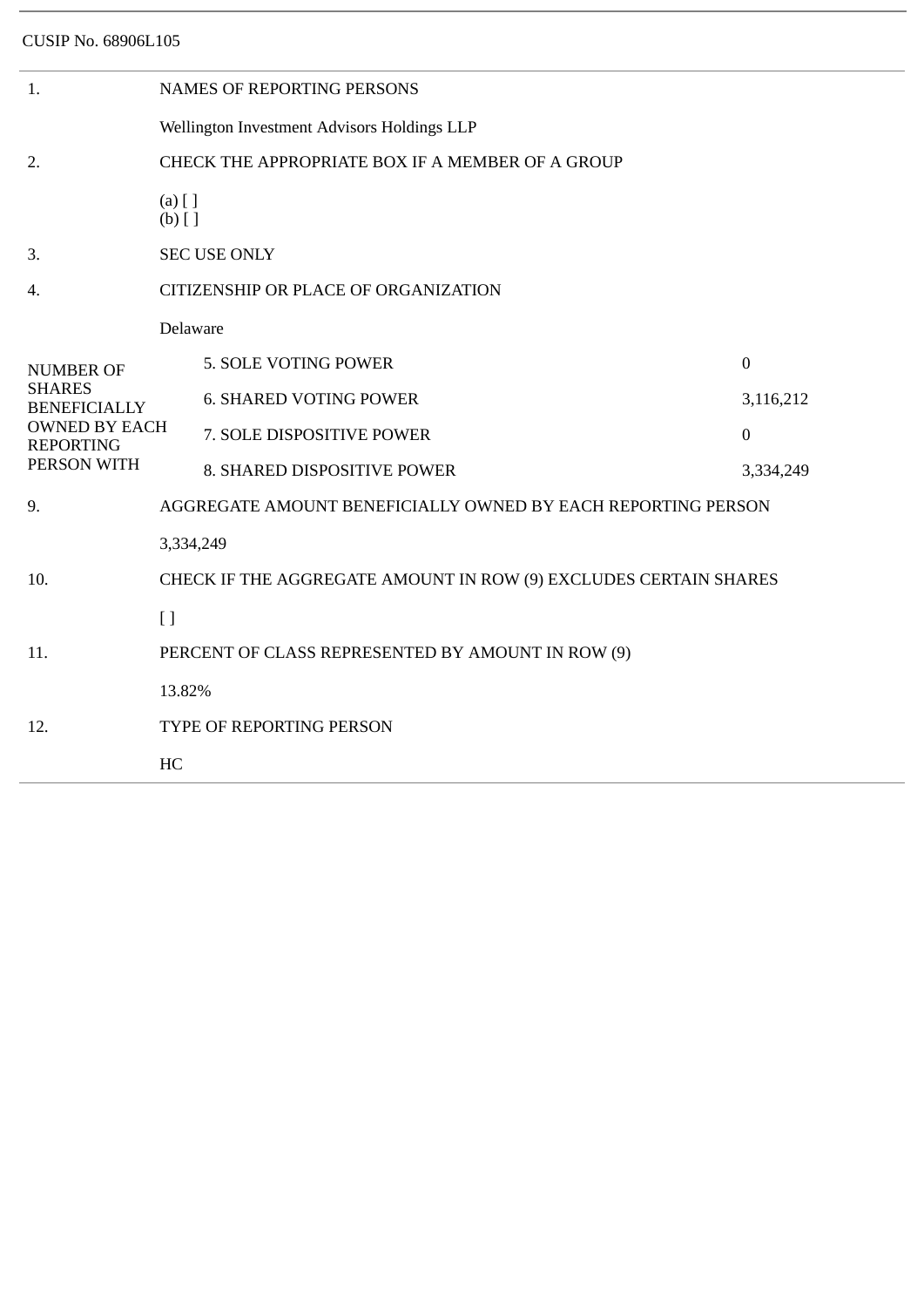| <b>NAMES OF REPORTING PERSONS</b>                                |                               |                                                   |  |  |  |
|------------------------------------------------------------------|-------------------------------|---------------------------------------------------|--|--|--|
| Wellington Investment Advisors Holdings LLP                      |                               |                                                   |  |  |  |
| CHECK THE APPROPRIATE BOX IF A MEMBER OF A GROUP                 |                               |                                                   |  |  |  |
| $(a)$ [ ]<br>$(b)$ []                                            |                               |                                                   |  |  |  |
| <b>SEC USE ONLY</b>                                              |                               |                                                   |  |  |  |
| CITIZENSHIP OR PLACE OF ORGANIZATION                             |                               |                                                   |  |  |  |
| Delaware                                                         |                               |                                                   |  |  |  |
|                                                                  | 5. SOLE VOTING POWER          | $\mathbf{0}$                                      |  |  |  |
|                                                                  | <b>6. SHARED VOTING POWER</b> | 3,116,212                                         |  |  |  |
| <b>OWNED BY EACH</b>                                             | 7. SOLE DISPOSITIVE POWER     | $\overline{0}$                                    |  |  |  |
|                                                                  | 8. SHARED DISPOSITIVE POWER   | 3,334,249                                         |  |  |  |
| AGGREGATE AMOUNT BENEFICIALLY OWNED BY EACH REPORTING PERSON     |                               |                                                   |  |  |  |
| 3,334,249                                                        |                               |                                                   |  |  |  |
| CHECK IF THE AGGREGATE AMOUNT IN ROW (9) EXCLUDES CERTAIN SHARES |                               |                                                   |  |  |  |
| $\left[ \ \right]$                                               |                               |                                                   |  |  |  |
|                                                                  |                               |                                                   |  |  |  |
| 13.82%                                                           |                               |                                                   |  |  |  |
| TYPE OF REPORTING PERSON                                         |                               |                                                   |  |  |  |
| HC                                                               |                               |                                                   |  |  |  |
|                                                                  |                               | PERCENT OF CLASS REPRESENTED BY AMOUNT IN ROW (9) |  |  |  |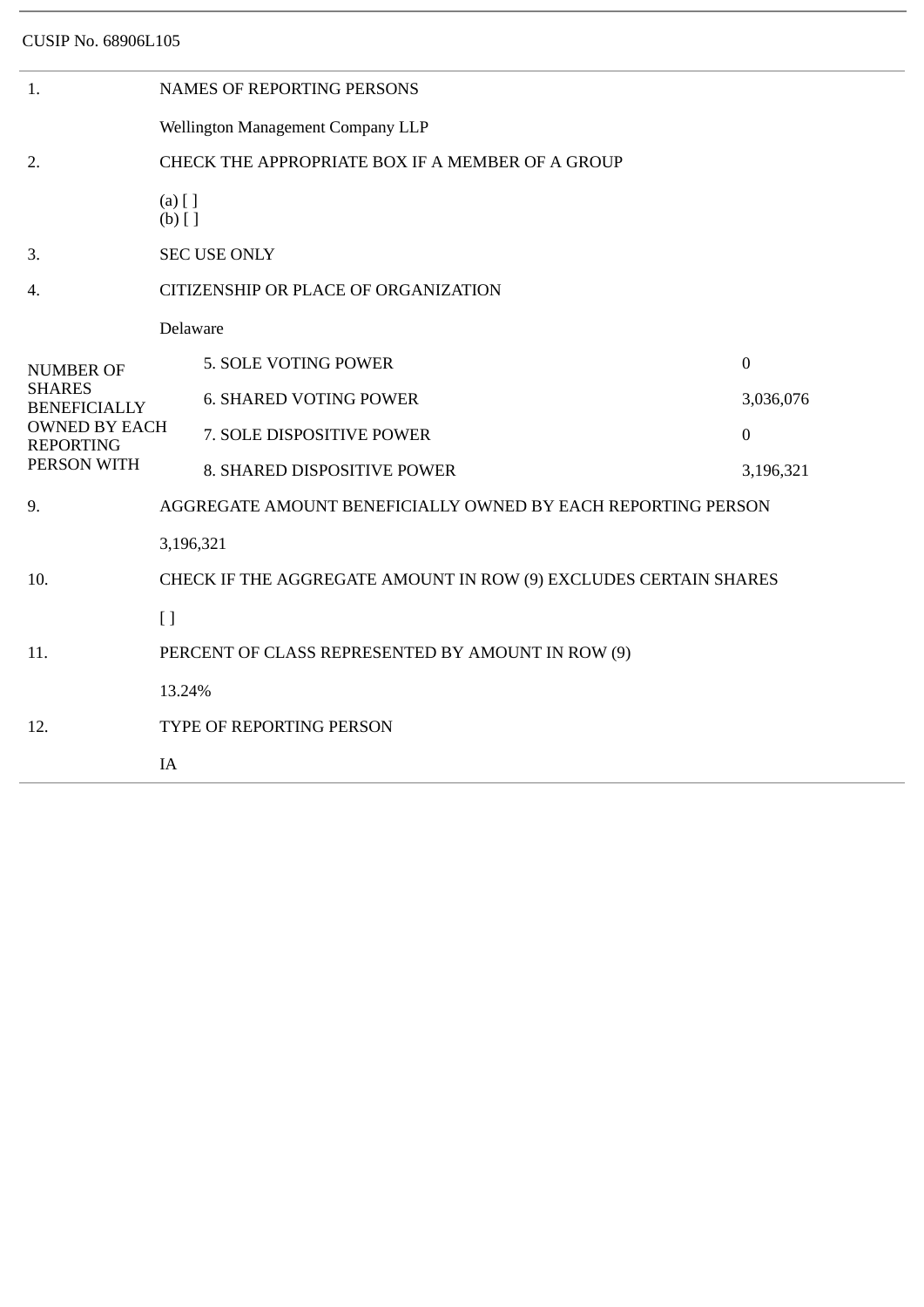| 1.                                       | <b>NAMES OF REPORTING PERSONS</b>                                |                               |                  |  |  |  |
|------------------------------------------|------------------------------------------------------------------|-------------------------------|------------------|--|--|--|
|                                          | Wellington Management Company LLP                                |                               |                  |  |  |  |
| 2.                                       | CHECK THE APPROPRIATE BOX IF A MEMBER OF A GROUP                 |                               |                  |  |  |  |
|                                          | $(a)$ [ ]<br>$(b)$ []                                            |                               |                  |  |  |  |
| 3.                                       | <b>SEC USE ONLY</b>                                              |                               |                  |  |  |  |
| 4.                                       | CITIZENSHIP OR PLACE OF ORGANIZATION                             |                               |                  |  |  |  |
|                                          | Delaware                                                         |                               |                  |  |  |  |
| <b>NUMBER OF</b>                         |                                                                  | 5. SOLE VOTING POWER          | $\boldsymbol{0}$ |  |  |  |
| <b>SHARES</b><br><b>BENEFICIALLY</b>     |                                                                  | <b>6. SHARED VOTING POWER</b> | 3,036,076        |  |  |  |
| <b>OWNED BY EACH</b><br><b>REPORTING</b> |                                                                  | 7. SOLE DISPOSITIVE POWER     | $\mathbf{0}$     |  |  |  |
| PERSON WITH                              |                                                                  | 8. SHARED DISPOSITIVE POWER   | 3,196,321        |  |  |  |
| 9.                                       | AGGREGATE AMOUNT BENEFICIALLY OWNED BY EACH REPORTING PERSON     |                               |                  |  |  |  |
|                                          | 3,196,321                                                        |                               |                  |  |  |  |
| 10.                                      | CHECK IF THE AGGREGATE AMOUNT IN ROW (9) EXCLUDES CERTAIN SHARES |                               |                  |  |  |  |
|                                          | $[ ]$                                                            |                               |                  |  |  |  |
| 11.                                      | PERCENT OF CLASS REPRESENTED BY AMOUNT IN ROW (9)                |                               |                  |  |  |  |
|                                          | 13.24%                                                           |                               |                  |  |  |  |
| 12.                                      | TYPE OF REPORTING PERSON                                         |                               |                  |  |  |  |
|                                          | IA                                                               |                               |                  |  |  |  |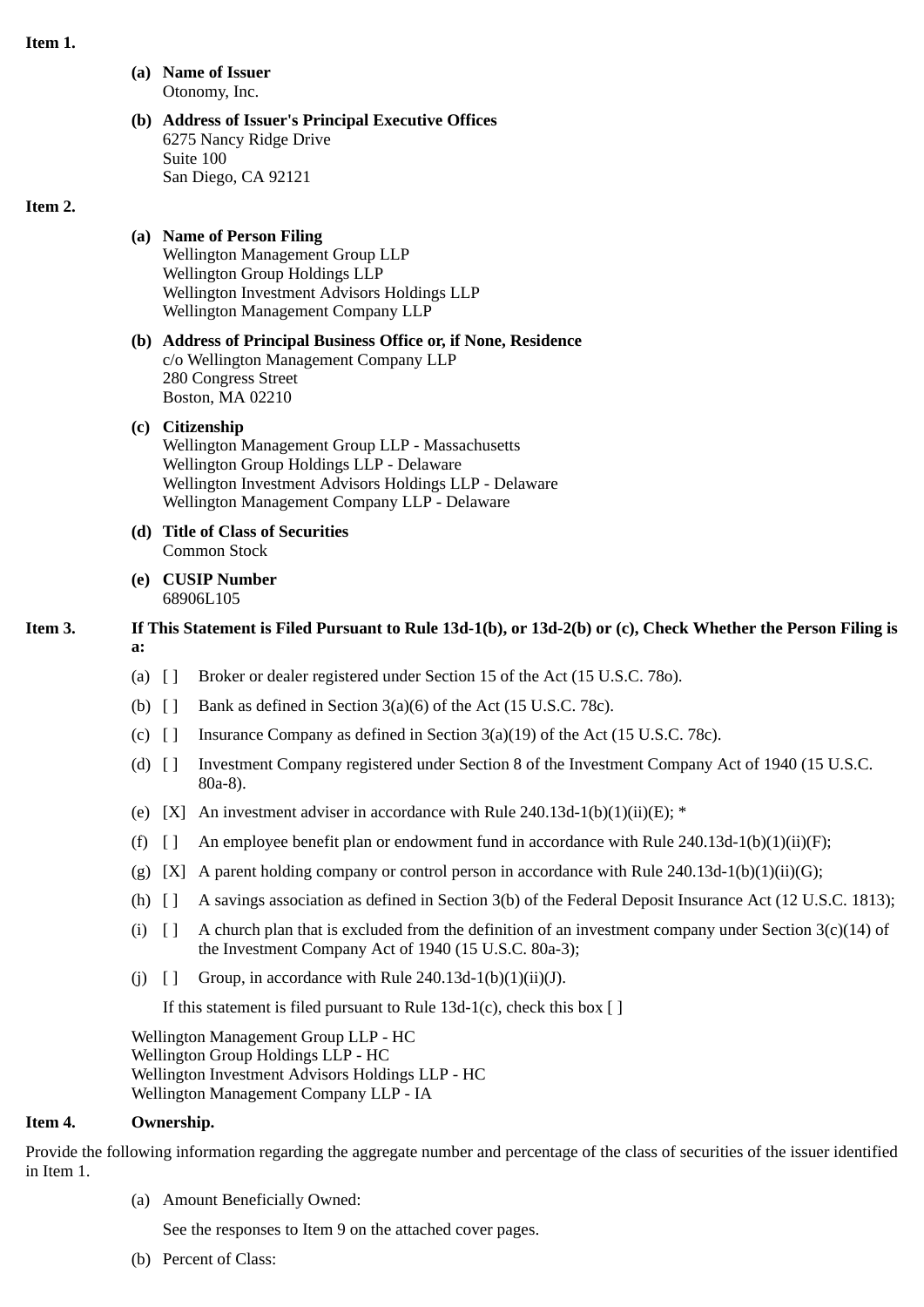### **Item 1.**

**(a) Name of Issuer** Otonomy, Inc.

### **(b) Address of Issuer's Principal Executive Offices** 6275 Nancy Ridge Drive Suite 100 San Diego, CA 92121

### **Item 2.**

## **(a) Name of Person Filing**

Wellington Management Group LLP Wellington Group Holdings LLP Wellington Investment Advisors Holdings LLP Wellington Management Company LLP

### **(b) Address of Principal Business Office or, if None, Residence** c/o Wellington Management Company LLP 280 Congress Street Boston, MA 02210

# **(c) Citizenship** Wellington Management Group LLP - Massachusetts Wellington Group Holdings LLP - Delaware

Wellington Investment Advisors Holdings LLP - Delaware Wellington Management Company LLP - Delaware

- **(d) Title of Class of Securities** Common Stock
- **(e) CUSIP Number** 68906L105

# **Item 3. If This Statement is Filed Pursuant to Rule 13d-1(b), or 13d-2(b) or (c), Check Whether the Person Filing is a:**

- (a) [ ] Broker or dealer registered under Section 15 of the Act (15 U.S.C. 78o).
- (b)  $\begin{bmatrix} \end{bmatrix}$  Bank as defined in Section 3(a)(6) of the Act (15 U.S.C. 78c).
- (c)  $\lceil \cdot \rceil$  Insurance Company as defined in Section 3(a)(19) of the Act (15 U.S.C. 78c).
- (d) [ ] Investment Company registered under Section 8 of the Investment Company Act of 1940 (15 U.S.C. 80a-8).
- (e) [X] An investment adviser in accordance with Rule 240.13d-1(b)(1)(ii)(E);  $*$
- (f)  $\begin{bmatrix} 1 \\ 4 \end{bmatrix}$  An employee benefit plan or endowment fund in accordance with Rule 240.13d-1(b)(1)(ii)(F);
- (g) [X] A parent holding company or control person in accordance with Rule 240.13d-1(b)(1)(ii)(G);
- (h) [ ] A savings association as defined in Section 3(b) of the Federal Deposit Insurance Act (12 U.S.C. 1813);
- (i)  $\lceil \rceil$  A church plan that is excluded from the definition of an investment company under Section 3(c)(14) of the Investment Company Act of 1940 (15 U.S.C. 80a-3);
- (j)  $[]$  Group, in accordance with Rule 240.13d-1(b)(1)(ii)(J).

If this statement is filed pursuant to Rule 13d-1(c), check this box  $\lceil \cdot \rceil$ 

Wellington Management Group LLP - HC Wellington Group Holdings LLP - HC Wellington Investment Advisors Holdings LLP - HC Wellington Management Company LLP - IA

## **Item 4. Ownership.**

Provide the following information regarding the aggregate number and percentage of the class of securities of the issuer identified in Item 1.

(a) Amount Beneficially Owned:

See the responses to Item 9 on the attached cover pages.

(b) Percent of Class: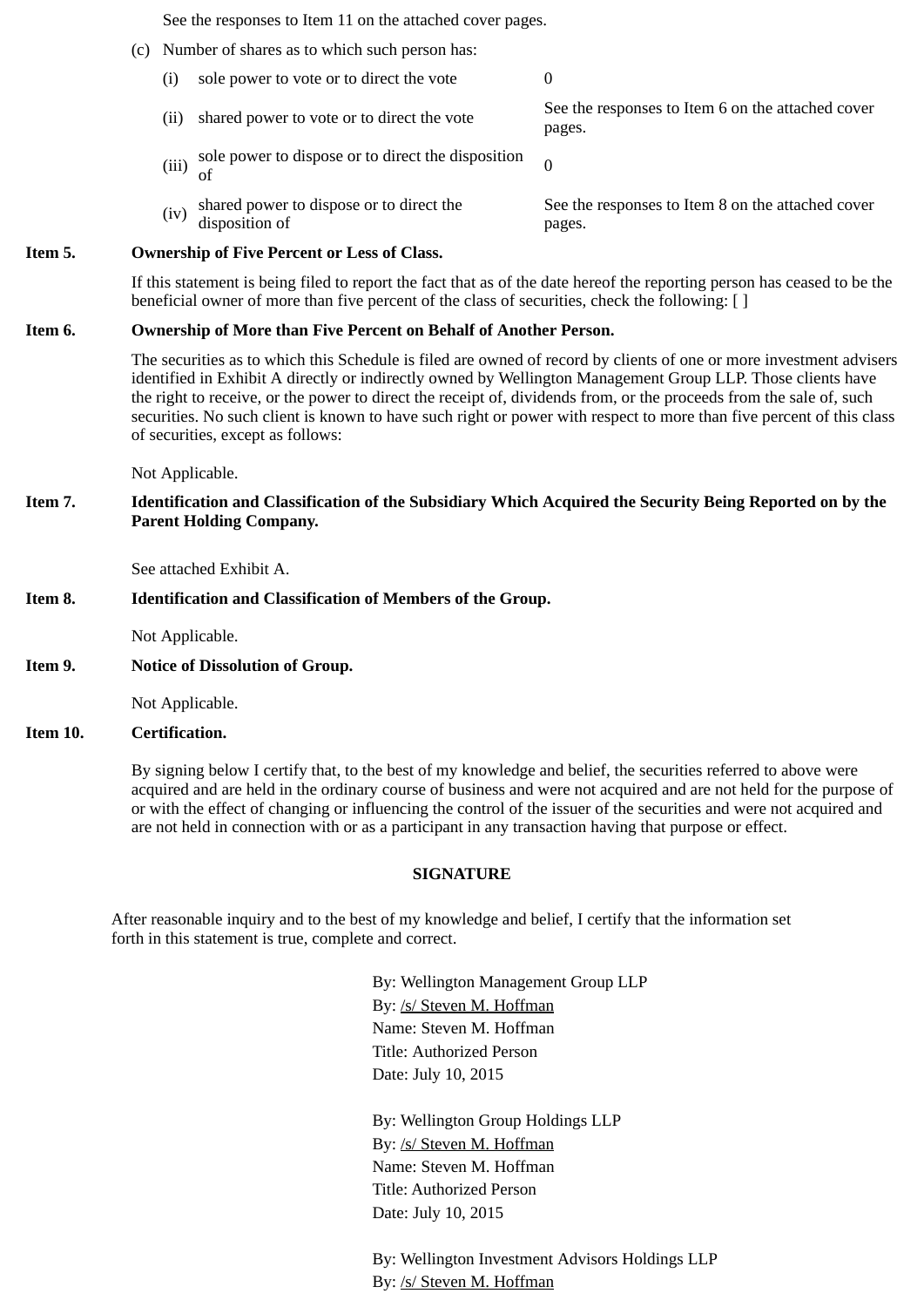See the responses to Item 11 on the attached cover pages.

- (c) Number of shares as to which such person has:
	- (i) sole power to vote or to direct the vote 0
		- (ii) shared power to vote or to direct the vote See the responses to Item 6 on the attached cover pages.
		- (iii) sole power to dispose or to direct the disposition of
		- (iv) shared power to dispose or to direct the disposition of See the responses to Item 8 on the attached cover pages.

### **Item 5. Ownership of Five Percent or Less of Class.**

If this statement is being filed to report the fact that as of the date hereof the reporting person has ceased to be the beneficial owner of more than five percent of the class of securities, check the following: []

### **Item 6. Ownership of More than Five Percent on Behalf of Another Person.**

The securities as to which this Schedule is filed are owned of record by clients of one or more investment advisers identified in Exhibit A directly or indirectly owned by Wellington Management Group LLP. Those clients have the right to receive, or the power to direct the receipt of, dividends from, or the proceeds from the sale of, such securities. No such client is known to have such right or power with respect to more than five percent of this class of securities, except as follows:

Not Applicable.

**Item 7. Identification and Classification of the Subsidiary Which Acquired the Security Being Reported on by the Parent Holding Company.**

See attached Exhibit A.

### **Item 8. Identification and Classification of Members of the Group.**

Not Applicable.

**Item 9. Notice of Dissolution of Group.**

Not Applicable.

### **Item 10. Certification.**

By signing below I certify that, to the best of my knowledge and belief, the securities referred to above were acquired and are held in the ordinary course of business and were not acquired and are not held for the purpose of or with the effect of changing or influencing the control of the issuer of the securities and were not acquired and are not held in connection with or as a participant in any transaction having that purpose or effect.

#### **SIGNATURE**

After reasonable inquiry and to the best of my knowledge and belief, I certify that the information set forth in this statement is true, complete and correct.

> By: Wellington Management Group LLP By: /s/ Steven M. Hoffman Name: Steven M. Hoffman Title: Authorized Person Date: July 10, 2015

By: Wellington Group Holdings LLP By: /s/ Steven M. Hoffman Name: Steven M. Hoffman Title: Authorized Person Date: July 10, 2015

By: Wellington Investment Advisors Holdings LLP By: /s/ Steven M. Hoffman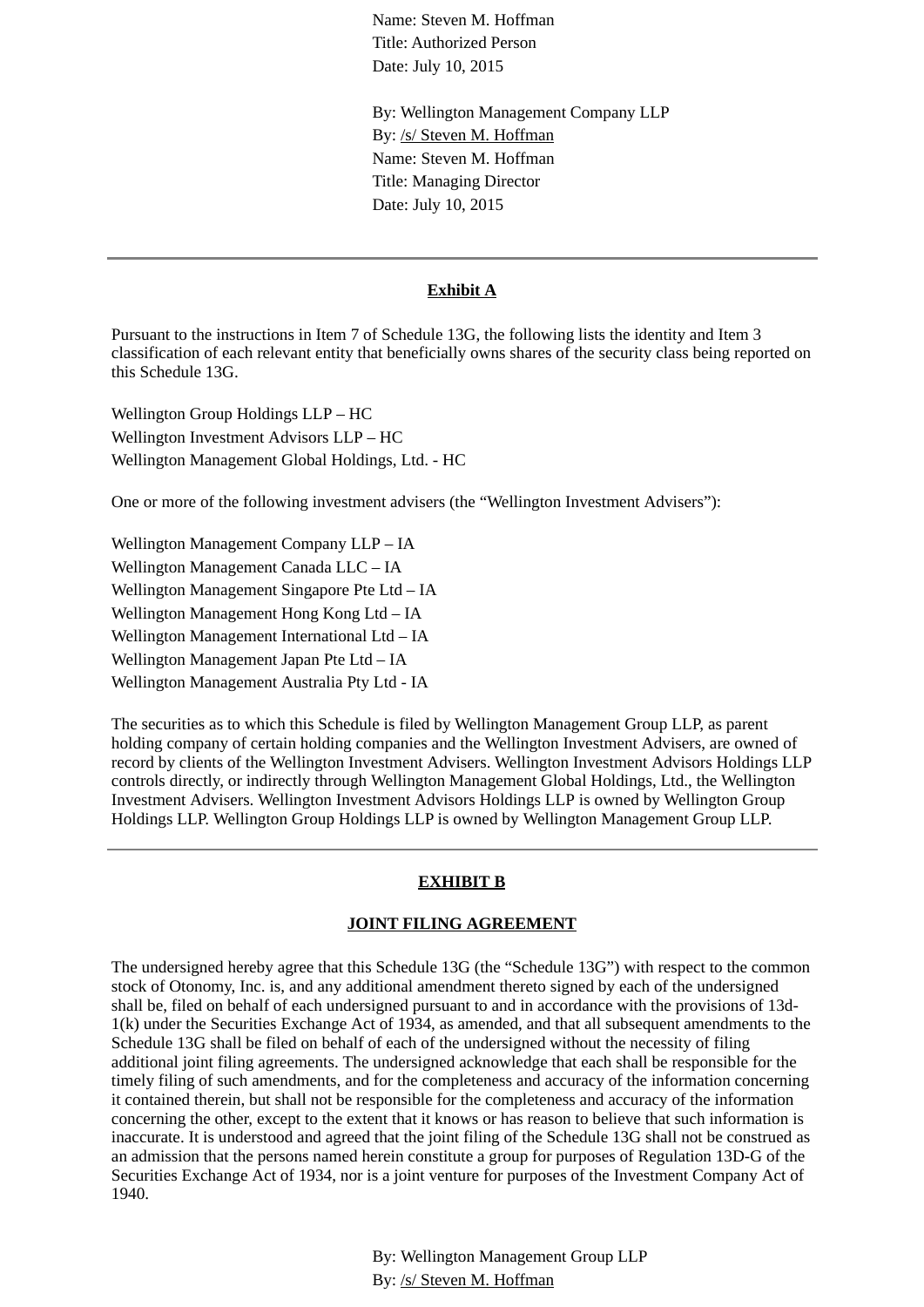Name: Steven M. Hoffman Title: Authorized Person Date: July 10, 2015

By: Wellington Management Company LLP By: /s/ Steven M. Hoffman Name: Steven M. Hoffman Title: Managing Director Date: July 10, 2015

### **Exhibit A**

Pursuant to the instructions in Item 7 of Schedule 13G, the following lists the identity and Item 3 classification of each relevant entity that beneficially owns shares of the security class being reported on this Schedule 13G.

Wellington Group Holdings LLP – HC Wellington Investment Advisors LLP – HC Wellington Management Global Holdings, Ltd. - HC

One or more of the following investment advisers (the "Wellington Investment Advisers"):

Wellington Management Company LLP – IA Wellington Management Canada LLC – IA Wellington Management Singapore Pte Ltd – IA Wellington Management Hong Kong Ltd – IA Wellington Management International Ltd – IA Wellington Management Japan Pte Ltd – IA Wellington Management Australia Pty Ltd - IA

The securities as to which this Schedule is filed by Wellington Management Group LLP, as parent holding company of certain holding companies and the Wellington Investment Advisers, are owned of record by clients of the Wellington Investment Advisers. Wellington Investment Advisors Holdings LLP controls directly, or indirectly through Wellington Management Global Holdings, Ltd., the Wellington Investment Advisers. Wellington Investment Advisors Holdings LLP is owned by Wellington Group Holdings LLP. Wellington Group Holdings LLP is owned by Wellington Management Group LLP.

#### **EXHIBIT B**

#### **JOINT FILING AGREEMENT**

The undersigned hereby agree that this Schedule 13G (the "Schedule 13G") with respect to the common stock of Otonomy, Inc. is, and any additional amendment thereto signed by each of the undersigned shall be, filed on behalf of each undersigned pursuant to and in accordance with the provisions of 13d-1(k) under the Securities Exchange Act of 1934, as amended, and that all subsequent amendments to the Schedule 13G shall be filed on behalf of each of the undersigned without the necessity of filing additional joint filing agreements. The undersigned acknowledge that each shall be responsible for the timely filing of such amendments, and for the completeness and accuracy of the information concerning it contained therein, but shall not be responsible for the completeness and accuracy of the information concerning the other, except to the extent that it knows or has reason to believe that such information is inaccurate. It is understood and agreed that the joint filing of the Schedule 13G shall not be construed as an admission that the persons named herein constitute a group for purposes of Regulation 13D-G of the Securities Exchange Act of 1934, nor is a joint venture for purposes of the Investment Company Act of 1940.

> By: Wellington Management Group LLP By: /s/ Steven M. Hoffman